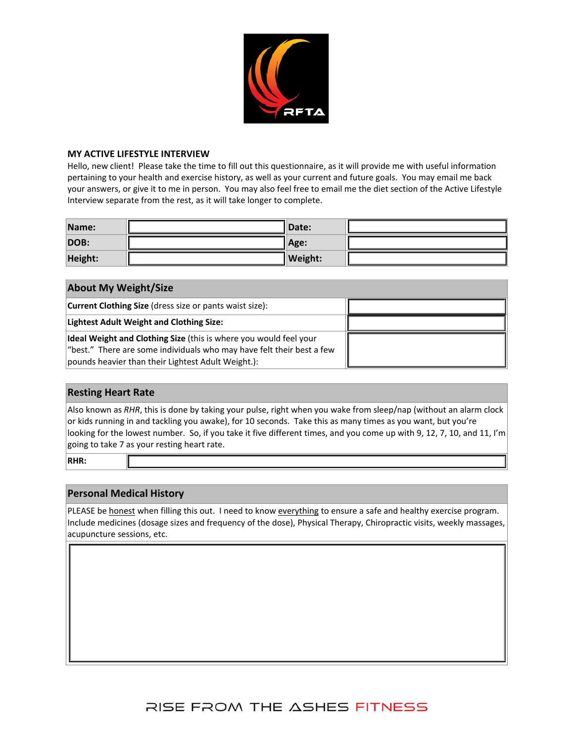

#### **MY ACTIVE LIFESTYLE INTERVIEW**

Hello, new client! Please take the time to fill out this questionnaire, as it will provide me with useful information pertaining to your health and exercise history, as well as your current and future goals. You may email me back your answers, or give it to me in person. You may also feel free to email me the diet section of the Active Lifestyle Interview separate from the rest, as it will take longer to complete.

| Name:   | <b>IDate:</b>  |  |
|---------|----------------|--|
| DOB:    | Age:           |  |
| Height: | <b>Weight:</b> |  |

|  |  | <b>About My Weight/Size</b> |  |
|--|--|-----------------------------|--|
|--|--|-----------------------------|--|

| <b>Current Clothing Size</b> (dress size or pants waist size):                                                                                                                                       |  |
|------------------------------------------------------------------------------------------------------------------------------------------------------------------------------------------------------|--|
| <b>Lightest Adult Weight and Clothing Size:</b>                                                                                                                                                      |  |
| Ideal Weight and Clothing Size (this is where you would feel your<br>$ $ "best." There are some individuals who may have felt their best a few<br>pounds heavier than their Lightest Adult Weight.): |  |

### **Resting Heart Rate**

Also known as *RHR*, this is done by taking your pulse, right when you wake from sleep/nap (without an alarm clock or kids running in and tackling you awake), for 10 seconds. Take this as many times as you want, but you're looking for the lowest number. So, if you take it five different times, and you come up with 9, 12, 7, 10, and 11, I'm going to take 7 as your resting heart rate.

**RHR:**

## **Personal Medical History**

PLEASE be honest when filling this out. I need to know everything to ensure a safe and healthy exercise program. Include medicines (dosage sizes and frequency of the dose), Physical Therapy, Chiropractic visits, weekly massages, acupuncture sessions, etc.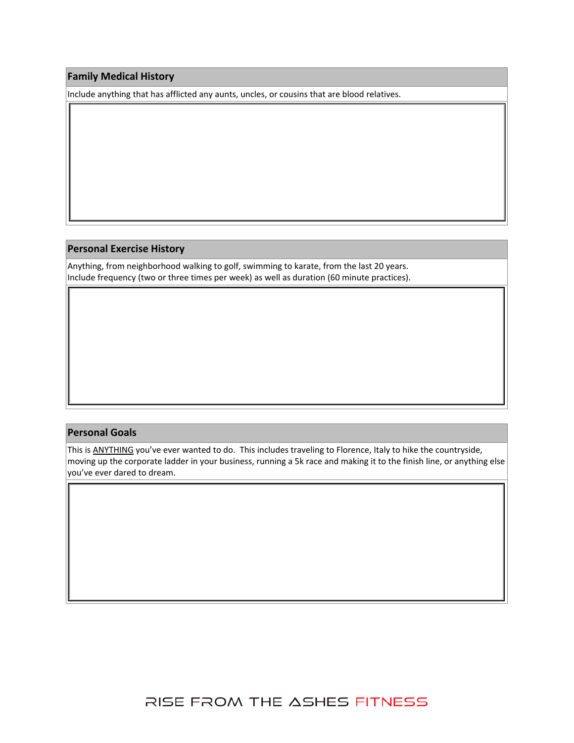### **Family Medical History**

Include anything that has afflicted any aunts, uncles, or cousins that are blood relatives.

### **Personal Exercise History**

Anything, from neighborhood walking to golf, swimming to karate, from the last 20 years. Include frequency (two or three times per week) as well as duration (60 minute practices).

#### **Personal Goals**

This is ANYTHING you've ever wanted to do. This includes traveling to Florence, Italy to hike the countryside, moving up the corporate ladder in your business, running a 5k race and making it to the finish line, or anything else you've ever dared to dream.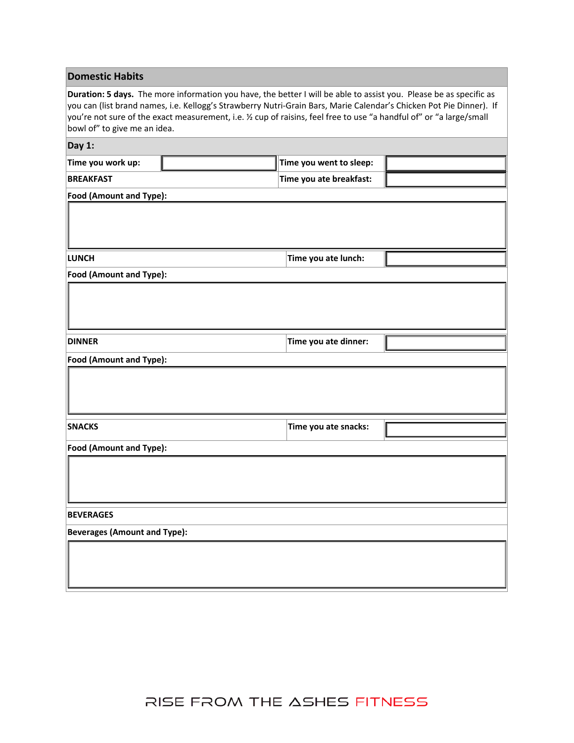### **Domestic Habits**

**Duration: 5 days.** The more information you have, the better I will be able to assist you. Please be as specific as you can (list brand names, i.e. Kellogg's Strawberry Nutri‐Grain Bars, Marie Calendar's Chicken Pot Pie Dinner). If you're not sure of the exact measurement, i.e. ½ cup of raisins, feel free to use "a handful of" or "a large/small bowl of" to give me an idea.

| Day $1$ :                           |                         |                         |  |  |  |  |
|-------------------------------------|-------------------------|-------------------------|--|--|--|--|
| Time you work up:                   |                         | Time you went to sleep: |  |  |  |  |
| <b>BREAKFAST</b>                    |                         | Time you ate breakfast: |  |  |  |  |
|                                     | Food (Amount and Type): |                         |  |  |  |  |
|                                     |                         |                         |  |  |  |  |
| <b>LUNCH</b>                        |                         | Time you ate lunch:     |  |  |  |  |
| Food (Amount and Type):             |                         |                         |  |  |  |  |
|                                     |                         |                         |  |  |  |  |
| <b>DINNER</b>                       |                         | Time you ate dinner:    |  |  |  |  |
| Food (Amount and Type):             |                         |                         |  |  |  |  |
|                                     |                         |                         |  |  |  |  |
| <b>SNACKS</b>                       |                         | Time you ate snacks:    |  |  |  |  |
| Food (Amount and Type):             |                         |                         |  |  |  |  |
|                                     |                         |                         |  |  |  |  |
| <b>BEVERAGES</b>                    |                         |                         |  |  |  |  |
| <b>Beverages (Amount and Type):</b> |                         |                         |  |  |  |  |
|                                     |                         |                         |  |  |  |  |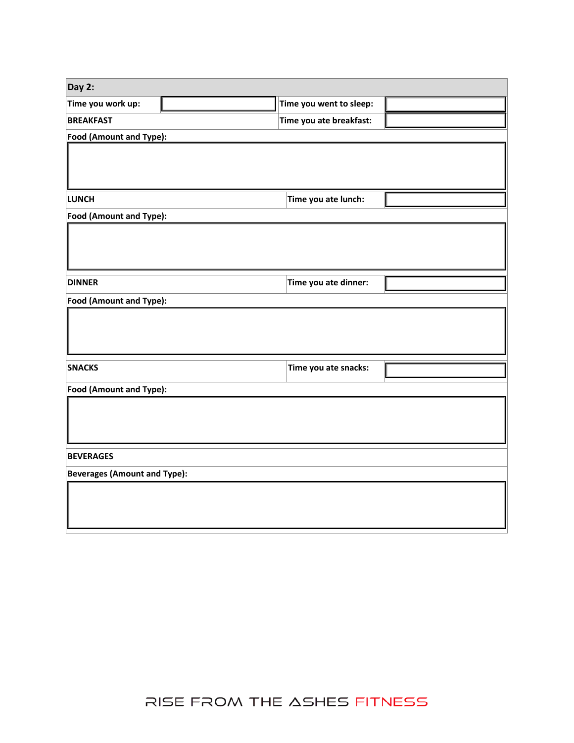| Day 2:                              |  |                         |  |  |
|-------------------------------------|--|-------------------------|--|--|
| Time you work up:                   |  | Time you went to sleep: |  |  |
| <b>BREAKFAST</b>                    |  | Time you ate breakfast: |  |  |
| <b>Food (Amount and Type):</b>      |  |                         |  |  |
|                                     |  |                         |  |  |
|                                     |  |                         |  |  |
| <b>LUNCH</b>                        |  | Time you ate lunch:     |  |  |
| Food (Amount and Type):             |  |                         |  |  |
|                                     |  |                         |  |  |
|                                     |  |                         |  |  |
|                                     |  |                         |  |  |
| <b>DINNER</b>                       |  | Time you ate dinner:    |  |  |
| Food (Amount and Type):             |  |                         |  |  |
|                                     |  |                         |  |  |
|                                     |  |                         |  |  |
|                                     |  |                         |  |  |
| <b>SNACKS</b>                       |  | Time you ate snacks:    |  |  |
| Food (Amount and Type):             |  |                         |  |  |
|                                     |  |                         |  |  |
|                                     |  |                         |  |  |
|                                     |  |                         |  |  |
| <b>BEVERAGES</b>                    |  |                         |  |  |
| <b>Beverages (Amount and Type):</b> |  |                         |  |  |
|                                     |  |                         |  |  |
|                                     |  |                         |  |  |
|                                     |  |                         |  |  |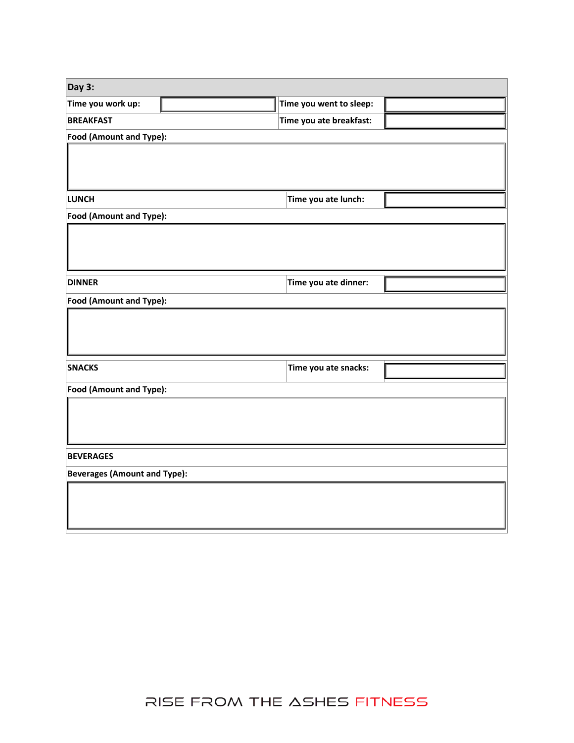| Day 3:                              |  |                         |  |  |
|-------------------------------------|--|-------------------------|--|--|
| Time you work up:                   |  | Time you went to sleep: |  |  |
| <b>BREAKFAST</b>                    |  | Time you ate breakfast: |  |  |
| Food (Amount and Type):             |  |                         |  |  |
|                                     |  |                         |  |  |
|                                     |  |                         |  |  |
| <b>LUNCH</b>                        |  | Time you ate lunch:     |  |  |
|                                     |  |                         |  |  |
| Food (Amount and Type):             |  |                         |  |  |
|                                     |  |                         |  |  |
|                                     |  |                         |  |  |
| <b>DINNER</b>                       |  | Time you ate dinner:    |  |  |
|                                     |  |                         |  |  |
| Food (Amount and Type):             |  |                         |  |  |
|                                     |  |                         |  |  |
|                                     |  |                         |  |  |
|                                     |  |                         |  |  |
| <b>SNACKS</b>                       |  | Time you ate snacks:    |  |  |
| Food (Amount and Type):             |  |                         |  |  |
|                                     |  |                         |  |  |
|                                     |  |                         |  |  |
|                                     |  |                         |  |  |
| <b>BEVERAGES</b>                    |  |                         |  |  |
| <b>Beverages (Amount and Type):</b> |  |                         |  |  |
|                                     |  |                         |  |  |
|                                     |  |                         |  |  |
|                                     |  |                         |  |  |
|                                     |  |                         |  |  |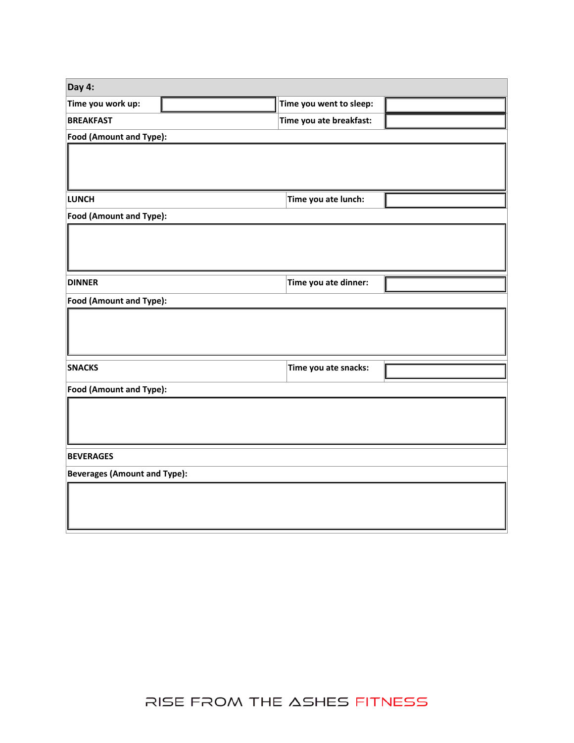| Day 4:                              |  |                         |  |  |
|-------------------------------------|--|-------------------------|--|--|
| Time you work up:                   |  | Time you went to sleep: |  |  |
| <b>BREAKFAST</b>                    |  | Time you ate breakfast: |  |  |
| Food (Amount and Type):             |  |                         |  |  |
|                                     |  |                         |  |  |
|                                     |  |                         |  |  |
| <b>LUNCH</b>                        |  | Time you ate lunch:     |  |  |
| Food (Amount and Type):             |  |                         |  |  |
|                                     |  |                         |  |  |
|                                     |  |                         |  |  |
|                                     |  |                         |  |  |
| <b>DINNER</b>                       |  | Time you ate dinner:    |  |  |
| Food (Amount and Type):             |  |                         |  |  |
|                                     |  |                         |  |  |
|                                     |  |                         |  |  |
|                                     |  |                         |  |  |
| <b>SNACKS</b>                       |  | Time you ate snacks:    |  |  |
| <b>Food (Amount and Type):</b>      |  |                         |  |  |
|                                     |  |                         |  |  |
|                                     |  |                         |  |  |
|                                     |  |                         |  |  |
| <b>BEVERAGES</b>                    |  |                         |  |  |
| <b>Beverages (Amount and Type):</b> |  |                         |  |  |
|                                     |  |                         |  |  |
|                                     |  |                         |  |  |
|                                     |  |                         |  |  |